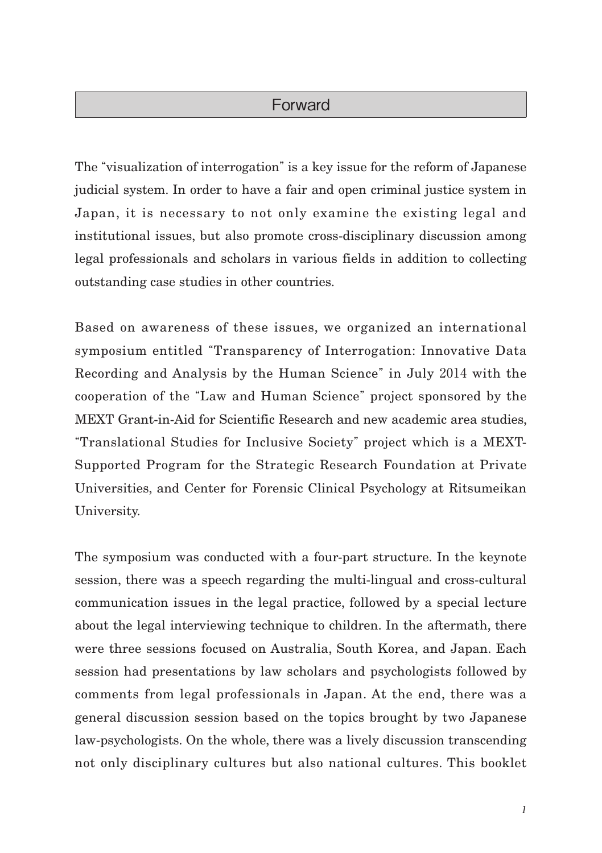## Forward

The "visualization of interrogation" is a key issue for the reform of Japanese judicial system. In order to have a fair and open criminal justice system in Japan, it is necessary to not only examine the existing legal and institutional issues, but also promote cross-disciplinary discussion among legal professionals and scholars in various fields in addition to collecting outstanding case studies in other countries.

Based on awareness of these issues, we organized an international symposium entitled "Transparency of Interrogation: Innovative Data Recording and Analysis by the Human Science" in July 2014 with the cooperation of the "Law and Human Science" project sponsored by the MEXT Grant-in-Aid for Scientific Research and new academic area studies, "Translational Studies for Inclusive Society" project which is a MEXT-Supported Program for the Strategic Research Foundation at Private Universities, and Center for Forensic Clinical Psychology at Ritsumeikan University.

The symposium was conducted with a four-part structure. In the keynote session, there was a speech regarding the multi-lingual and cross-cultural communication issues in the legal practice, followed by a special lecture about the legal interviewing technique to children. In the aftermath, there were three sessions focused on Australia, South Korea, and Japan. Each session had presentations by law scholars and psychologists followed by comments from legal professionals in Japan. At the end, there was a general discussion session based on the topics brought by two Japanese law-psychologists. On the whole, there was a lively discussion transcending not only disciplinary cultures but also national cultures. This booklet